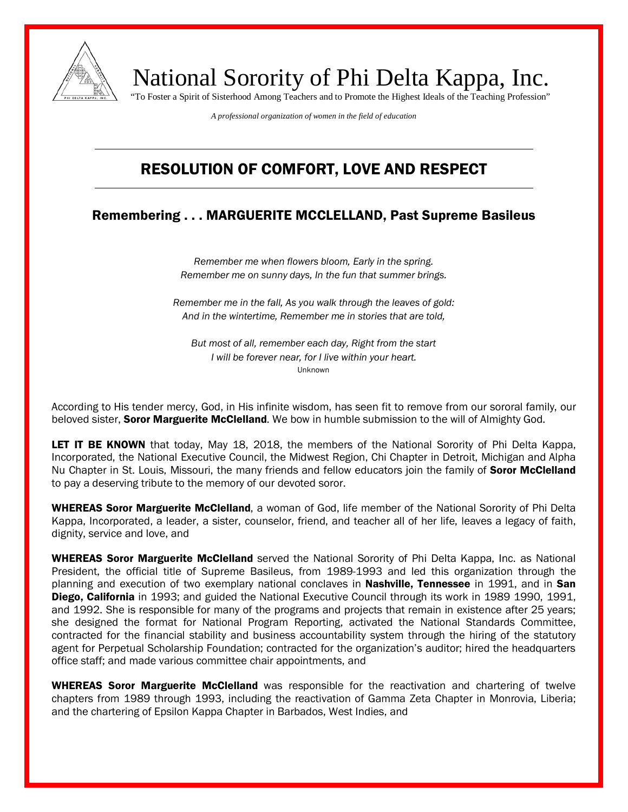

National Sorority of Phi Delta Kappa, Inc. "To Foster a Spirit of Sisterhood Among Teachers and to Promote the Highest Ideals of the Teaching Profession"

*A professional organization of women in the field of education*

## RESOLUTION OF COMFORT, LOVE AND RESPECT

## Remembering . . . MARGUERITE MCCLELLAND, Past Supreme Basileus

*Remember me when flowers bloom, Early in the spring. Remember me on sunny days, In the fun that summer brings.*

*Remember me in the fall, As you walk through the leaves of gold: And in the wintertime, Remember me in stories that are told,*

*But most of all, remember each day, Right from the start I will be forever near, for I live within your heart.* Unknown

According to His tender mercy, God, in His infinite wisdom, has seen fit to remove from our sororal family, our beloved sister, **Soror Marguerite McClelland**. We bow in humble submission to the will of Almighty God.

LET IT BE KNOWN that today, May 18, 2018, the members of the National Sorority of Phi Delta Kappa, Incorporated, the National Executive Council, the Midwest Region, Chi Chapter in Detroit, Michigan and Alpha Nu Chapter in St. Louis, Missouri, the many friends and fellow educators join the family of Soror McClelland to pay a deserving tribute to the memory of our devoted soror.

WHEREAS Soror Marguerite McClelland, a woman of God, life member of the National Sorority of Phi Delta Kappa, Incorporated, a leader, a sister, counselor, friend, and teacher all of her life, leaves a legacy of faith, dignity, service and love, and

WHEREAS Soror Marguerite McClelland served the National Sorority of Phi Delta Kappa, Inc. as National President, the official title of Supreme Basileus, from 1989-1993 and led this organization through the planning and execution of two exemplary national conclaves in Nashville, Tennessee in 1991, and in San Diego, California in 1993; and guided the National Executive Council through its work in 1989 1990, 1991, and 1992. She is responsible for many of the programs and projects that remain in existence after 25 years; she designed the format for National Program Reporting, activated the National Standards Committee, contracted for the financial stability and business accountability system through the hiring of the statutory agent for Perpetual Scholarship Foundation; contracted for the organization's auditor; hired the headquarters office staff; and made various committee chair appointments, and

WHEREAS Soror Marguerite McClelland was responsible for the reactivation and chartering of twelve chapters from 1989 through 1993, including the reactivation of Gamma Zeta Chapter in Monrovia, Liberia; and the chartering of Epsilon Kappa Chapter in Barbados, West Indies, and